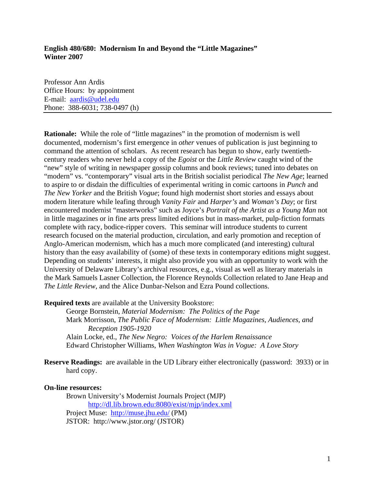## **English 480/680: Modernism In and Beyond the "Little Magazines" Winter 2007**

Professor Ann Ardis Office Hours: by appointment E-mail: [aardis@udel.edu](mailto:aardis@udel.edu) Phone: 388-6031; 738-0497 (h)

**Rationale:** While the role of "little magazines" in the promotion of modernism is well documented, modernism's first emergence in *other* venues of publication is just beginning to command the attention of scholars. As recent research has begun to show, early twentiethcentury readers who never held a copy of the *Egoist* or the *Little Review* caught wind of the "new" style of writing in newspaper gossip columns and book reviews; tuned into debates on "modern" vs. "contemporary" visual arts in the British socialist periodical *The New Age*; learned to aspire to or disdain the difficulties of experimental writing in comic cartoons in *Punch* and *The New Yorker* and the British *Vogue*; found high modernist short stories and essays about modern literature while leafing through *Vanity Fair* and *Harper's* and *Woman's Day*; or first encountered modernist "masterworks" such as Joyce's *Portrait of the Artist as a Young Man* not in little magazines or in fine arts press limited editions but in mass-market, pulp-fiction formats complete with racy, bodice-ripper covers. This seminar will introduce students to current research focused on the material production, circulation, and early promotion and reception of Anglo-American modernism, which has a much more complicated (and interesting) cultural history than the easy availability of (some) of these texts in contemporary editions might suggest. Depending on students' interests, it might also provide you with an opportunity to work with the University of Delaware Library's archival resources, e.g., visual as well as literary materials in the Mark Samuels Lasner Collection, the Florence Reynolds Collection related to Jane Heap and *The Little Review*, and the Alice Dunbar-Nelson and Ezra Pound collections.

**Required texts** are available at the University Bookstore:

George Bornstein, *Material Modernism: The Politics of the Page*  Mark Morrisson, *The Public Face of Modernism: Little Magazines, Audiences, and Reception 1905-1920*  Alain Locke, ed., *The New Negro: Voices of the Harlem Renaissance* 

Edward Christopher Williams, *When Washington Was in Vogue: A Love Story*

**Reserve Readings:** are available in the UD Library either electronically (password: 3933) or in hard copy.

### **On-line resources:**

Brown University's Modernist Journals Project (MJP) <http://dl.lib.brown.edu:8080/exist/mjp/index.xml> Project Muse: <http://muse.jhu.edu/>(PM) JSTOR: http://www.jstor.org/ (JSTOR)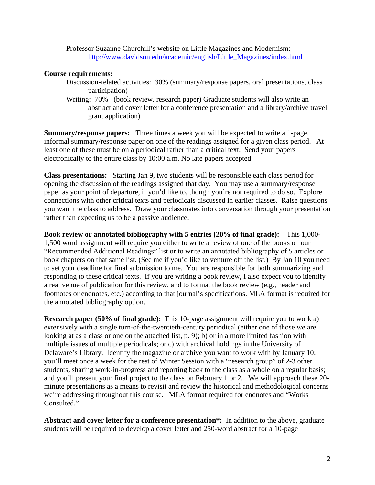Professor Suzanne Churchill's website on Little Magazines and Modernism: [http://www.davidson.edu/academic/english/Little\\_Magazines/index.html](http://www.davidson.edu/academic/english/Little_Magazines/index.html)

### **Course requirements:**

- Discussion-related activities: 30% (summary/response papers, oral presentations, class participation)
- Writing: 70% (book review, research paper) Graduate students will also write an abstract and cover letter for a conference presentation and a library/archive travel grant application)

**Summary/response papers:** Three times a week you will be expected to write a 1-page, informal summary/response paper on one of the readings assigned for a given class period. At least one of these must be on a periodical rather than a critical text. Send your papers electronically to the entire class by 10:00 a.m. No late papers accepted.

**Class presentations:** Starting Jan 9, two students will be responsible each class period for opening the discussion of the readings assigned that day. You may use a summary/response paper as your point of departure, if you'd like to, though you're not required to do so. Explore connections with other critical texts and periodicals discussed in earlier classes. Raise questions you want the class to address. Draw your classmates into conversation through your presentation rather than expecting us to be a passive audience.

**Book review or annotated bibliography with 5 entries (20% of final grade):** This 1,000- 1,500 word assignment will require you either to write a review of one of the books on our "Recommended Additional Readings" list or to write an annotated bibliography of 5 articles or book chapters on that same list. (See me if you'd like to venture off the list.) By Jan 10 you need to set your deadline for final submission to me. You are responsible for both summarizing and responding to these critical texts. If you are writing a book review, I also expect you to identify a real venue of publication for this review, and to format the book review (e.g., header and footnotes or endnotes, etc.) according to that journal's specifications. MLA format is required for the annotated bibliography option.

**Research paper (50% of final grade):** This 10-page assignment will require you to work a) extensively with a single turn-of-the-twentieth-century periodical (either one of those we are looking at as a class or one on the attached list, p. 9); b) or in a more limited fashion with multiple issues of multiple periodicals; or c) with archival holdings in the University of Delaware's Library. Identify the magazine or archive you want to work with by January 10; you'll meet once a week for the rest of Winter Session with a "research group" of 2-3 other students, sharing work-in-progress and reporting back to the class as a whole on a regular basis; and you'll present your final project to the class on February 1 or 2. We will approach these 20 minute presentations as a means to revisit and review the historical and methodological concerns we're addressing throughout this course. MLA format required for endnotes and "Works Consulted."

**Abstract and cover letter for a conference presentation\*:** In addition to the above, graduate students will be required to develop a cover letter and 250-word abstract for a 10-page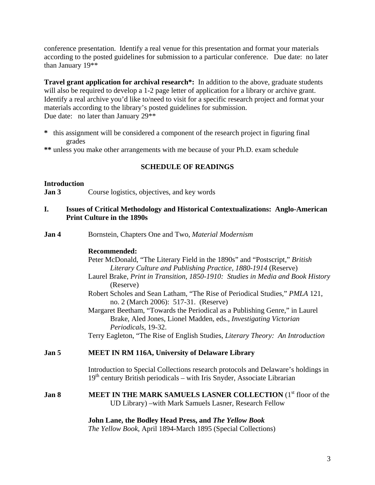conference presentation. Identify a real venue for this presentation and format your materials according to the posted guidelines for submission to a particular conference. Due date: no later than January 19\*\*

**Travel grant application for archival research<sup>\*</sup>:** In addition to the above, graduate students will also be required to develop a 1-2 page letter of application for a library or archive grant. Identify a real archive you'd like to/need to visit for a specific research project and format your materials according to the library's posted guidelines for submission. Due date: no later than January 29\*\*

- **\*** this assignment will be considered a component of the research project in figuring final grades
- **\*\*** unless you make other arrangements with me because of your Ph.D. exam schedule

# **SCHEDULE OF READINGS**

## **Introduction**

**Jan 3** Course logistics, objectives, and key words

- **I. Issues of Critical Methodology and Historical Contextualizations: Anglo-American Print Culture in the 1890s**
- **Jan 4** Bornstein, Chapters One and Two, *Material Modernism*

# **Recommended:**

- Peter McDonald, "The Literary Field in the 1890s" and "Postscript," *British Literary Culture and Publishing Practice, 1880-1914* (Reserve)
- Laurel Brake, *Print in Transition, 1850-1910: Studies in Media and Book History*  (Reserve)
- Robert Scholes and Sean Latham, "The Rise of Periodical Studies," *PMLA* 121, no. 2 (March 2006): 517-31. (Reserve)
- Margaret Beetham, "Towards the Periodical as a Publishing Genre," in Laurel Brake, Aled Jones, Lionel Madden, eds., *Investigating Victorian Periodicals*, 19-32.
- Terry Eagleton, "The Rise of English Studies, *Literary Theory: An Introduction*

# **Jan 5 MEET IN RM 116A, University of Delaware Library**

Introduction to Special Collections research protocols and Delaware's holdings in  $19<sup>th</sup>$  century British periodicals – with Iris Snyder, Associate Librarian

**Jan 8 MEET IN THE MARK SAMUELS LASNER COLLECTION** (1<sup>st</sup> floor of the UD Library) –with Mark Samuels Lasner, Research Fellow

## **John Lane, the Bodley Head Press, and** *The Yellow Book*

*The Yellow Book*, April 1894-March 1895 (Special Collections)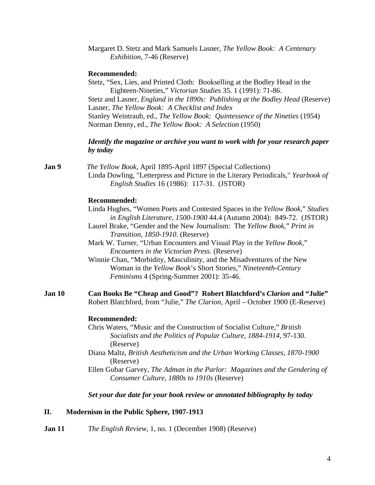| Margaret D. Stetz and Mark Samuels Lasner, The Yellow Book: A Centenary |  |
|-------------------------------------------------------------------------|--|
| <i>Exhibition, 7-46 (Reserve)</i>                                       |  |

### **Recommended:**

Stetz, "Sex, Lies, and Printed Cloth: Bookselling at the Bodley Head in the Eighteen-Nineties," *Victorian Studies* 35. 1 (1991): 71-86. Stetz and Lasner, *England in the 1890s: Publishing at the Bodley Head* (Reserve) Lasner, *The Yellow Book: A Checklist and Index* Stanley Weintraub, ed., *The Yellow Book: Quintessence of the Nineties* (1954) Norman Denny, ed., *The Yellow Book: A Selection* (1950)

## *Identify the magazine or archive you want to work with for your research paper by today*

**Jan 9** *The Yellow Book*, April 1895-April 1897 (Special Collections) Linda Dowling, "Letterpress and Picture in the Literary Periodicals," *Yearbook of English Studies* 16 (1986): 117-31. (JSTOR)

## **Recommended:**

- Linda Hughes, "Women Poets and Contested Spaces in the *Yellow Book*," *Studies in English Literature, 1500-1900* 44.4 (Autumn 2004): 849-72. (JSTOR)
- Laurel Brake, "Gender and the New Journalism: The *Yellow Book*," *Print in Transition, 1850-1910*. (Reserve)
- Mark W. Turner, "Urban Encounters and Visual Play in the *Yellow Book*," *Encounters in the Victorian Press.* (Reserve)
- Winnie Chan, "Morbidity, Masculinity, and the Misadventures of the New Woman in the *Yellow Book*'s Short Stories," *Nineteenth-Century Feminisms* 4 (Spring-Summer 2001): 35-46.
- **Jan 10 Can Books Be "Cheap and Good"? Robert Blatchford's** *Clarion* **and "Julie"** Robert Blatchford, from "Julie," *The Clarion*, April – October 1900 (E-Reserve)

#### **Recommended:**

- Chris Waters, "Music and the Construction of Socialist Culture," *British Socialists and the Politics of Popular Culture, 1884-1914*, 97-130. (Reserve)
- Diana Maltz, *British Aestheticism and the Urban Working Classes, 1870-1900* (Reserve)
- Ellen Gubar Garvey, *The Adman in the Parlor: Magazines and the Gendering of Consumer Culture, 1880s to 1910s* (Reserve)

### *Set your due date for your book review or annotated bibliography by today*

### **II. Modernism in the Public Sphere, 1907-1913**

**Jan 11** *The English Review*, 1, no. 1 (December 1908) (Reserve)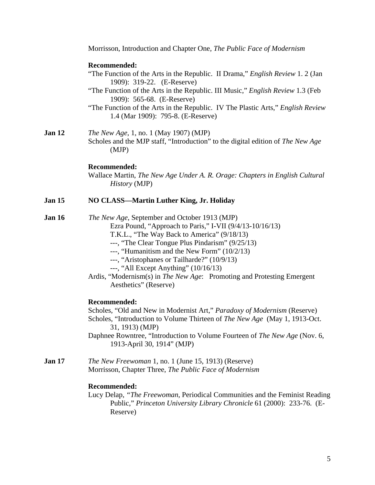|               | Morrisson, Introduction and Chapter One, The Public Face of Modernism                                                                                                                                                                                                                                                                                                                                                                                       |
|---------------|-------------------------------------------------------------------------------------------------------------------------------------------------------------------------------------------------------------------------------------------------------------------------------------------------------------------------------------------------------------------------------------------------------------------------------------------------------------|
|               | <b>Recommended:</b><br>"The Function of the Arts in the Republic. II Drama," <i>English Review</i> 1. 2 (Jan<br>1909): 319-22. (E-Reserve)<br>"The Function of the Arts in the Republic. III Music," English Review 1.3 (Feb)<br>1909): 565-68. (E-Reserve)<br>"The Function of the Arts in the Republic. IV The Plastic Arts," English Review<br>1.4 (Mar 1909): 795-8. (E-Reserve)                                                                        |
| Jan 12        | <i>The New Age, 1, no. 1 (May 1907) (MJP)</i><br>Scholes and the MJP staff, "Introduction" to the digital edition of The New Age<br>(MJP)                                                                                                                                                                                                                                                                                                                   |
|               | <b>Recommended:</b><br>Wallace Martin, The New Age Under A. R. Orage: Chapters in English Cultural<br><i>History</i> (MJP)                                                                                                                                                                                                                                                                                                                                  |
| <b>Jan 15</b> | NO CLASS—Martin Luther King, Jr. Holiday                                                                                                                                                                                                                                                                                                                                                                                                                    |
| <b>Jan 16</b> | The New Age, September and October 1913 (MJP)<br>Ezra Pound, "Approach to Paris," I-VII (9/4/13-10/16/13)<br>T.K.L., "The Way Back to America" (9/18/13)<br>---, "The Clear Tongue Plus Pindarism" (9/25/13)<br>---, "Humanitism and the New Form" $(10/2/13)$<br>---, "Aristophanes or Tailharde?" (10/9/13)<br>---, "All Except Anything" $(10/16/13)$<br>Ardis, "Modernism(s) in The New Age: Promoting and Protesting Emergent<br>Aesthetics" (Reserve) |
|               | <b>Recommended:</b><br>Scholes, "Old and New in Modernist Art," Paradoxy of Modernism (Reserve)<br>Scholes, "Introduction to Volume Thirteen of The New Age (May 1, 1913-Oct.<br>31, 1913) (MJP)<br>Daphnee Rowntree, "Introduction to Volume Fourteen of The New Age (Nov. 6,<br>1913-April 30, 1914" (MJP)                                                                                                                                                |
| <b>Jan 17</b> | <i>The New Freewoman</i> 1, no. 1 (June 15, 1913) (Reserve)<br>Morrisson, Chapter Three, The Public Face of Modernism                                                                                                                                                                                                                                                                                                                                       |
|               | <b>Recommended:</b><br>Lucy Delap, "The Freewoman, Periodical Communities and the Feminist Reading<br>Public," Princeton University Library Chronicle 61 (2000): 233-76. (E-<br>Reserve)                                                                                                                                                                                                                                                                    |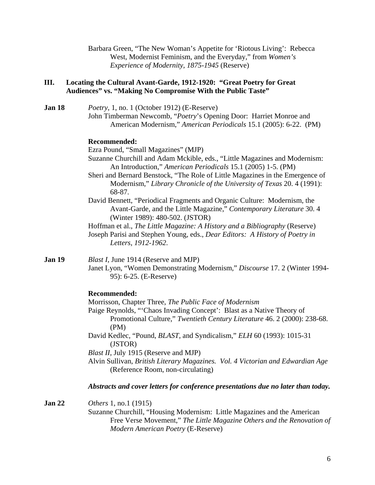Barbara Green, "The New Woman's Appetite for 'Riotous Living': Rebecca West, Modernist Feminism, and the Everyday," from *Women's Experience of Modernity, 1875-1945* (Reserve)

## **III. Locating the Cultural Avant-Garde, 1912-1920: "Great Poetry for Great Audiences" vs. "Making No Compromise With the Public Taste"**

**Jan 18** *Poetry*, 1, no. 1 (October 1912) (E-Reserve) John Timberman Newcomb, "*Poetry*'s Opening Door: Harriet Monroe and American Modernism," *American Periodicals* 15.1 (2005): 6-22. (PM)

### **Recommended:**

Ezra Pound, "Small Magazines" (MJP)

- Suzanne Churchill and Adam Mckible, eds., "Little Magazines and Modernism: An Introduction," *American Periodicals* 15.1 (2005) 1-5. (PM)
- Sheri and Bernard Benstock, "The Role of Little Magazines in the Emergence of Modernism," *Library Chronicle of the University of Texas* 20. 4 (1991): 68-87.
- David Bennett, "Periodical Fragments and Organic Culture: Modernism, the Avant-Garde, and the Little Magazine," *Contemporary Literature* 30. 4 (Winter 1989): 480-502. (JSTOR)

Hoffman et al., *The Little Magazine: A History and a Bibliography* (Reserve)

Joseph Parisi and Stephen Young, eds., *Dear Editors: A History of Poetry in Letters, 1912-1962*.

**Jan 19** *Blast I*, June 1914 (Reserve and MJP)

Janet Lyon, "Women Demonstrating Modernism," *Discourse* 17. 2 (Winter 1994- 95): 6-25. (E-Reserve)

## **Recommended:**

Morrisson, Chapter Three, *The Public Face of Modernism*  Paige Reynolds, "'Chaos Invading Concept': Blast as a Native Theory of Promotional Culture," *Twentieth Century Literature* 46. 2 (2000): 238-68. (PM) David Kedlec, "Pound, *BLAST*, and Syndicalism," *ELH* 60 (1993): 1015-31

(JSTOR) *Blast II*, July 1915 (Reserve and MJP)

Alvin Sullivan, *British Literary Magazines. Vol. 4 Victorian and Edwardian Age*  (Reference Room, non-circulating)

## *Abstracts and cover letters for conference presentations due no later than today.*

**Jan 22** *Others* 1, no.1 (1915)

Suzanne Churchill, "Housing Modernism: Little Magazines and the American Free Verse Movement," *The Little Magazine Others and the Renovation of Modern American Poetry* (E-Reserve)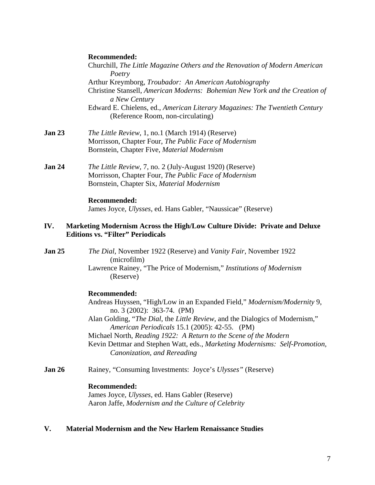### **Recommended:**

Churchill, *The Little Magazine Others and the Renovation of Modern American Poetry*  Arthur Kreymborg, *Troubador: An American Autobiography* Christine Stansell, *American Moderns: Bohemian New York and the Creation of a New Century*  Edward E. Chielens, ed., *American Literary Magazines: The Twentieth Century* (Reference Room, non-circulating) **Jan 23** *The Little Review*, 1, no.1 (March 1914) (Reserve) Morrisson, Chapter Four, *The Public Face of Modernism* Bornstein, Chapter Five, *Material Modernism* 

**Jan 24** *The Little Review*, 7, no. 2 (July-August 1920) (Reserve) Morrisson, Chapter Four, *The Public Face of Modernism*  Bornstein, Chapter Six, *Material Modernism* 

### **Recommended:**

James Joyce, *Ulysses*, ed. Hans Gabler, "Naussicae" (Reserve)

## **IV. Marketing Modernism Across the High/Low Culture Divide: Private and Deluxe Editions vs. "Filter" Periodicals**

**Jan 25** *The Dial*, November 1922 (Reserve) and *Vanity Fair*, November 1922 (microfilm) Lawrence Rainey, "The Price of Modernism," *Institutions of Modernism*  (Reserve)

### **Recommended:**

- Andreas Huyssen, "High/Low in an Expanded Field," *Modernism/Modernity* 9, no. 3 (2002): 363-74. (PM)
- Alan Golding, "*The Dial*, the *Little Review*, and the Dialogics of Modernism," *American Periodicals* 15.1 (2005): 42-55. (PM)
- Michael North, *Reading 1922: A Return to the Scene of the Modern*

Kevin Dettmar and Stephen Watt, eds., *Marketing Modernisms: Self-Promotion, Canonization, and Rereading*

**Jan 26** Rainey, "Consuming Investments: Joyce's *Ulysses"* (Reserve)

### **Recommended:**

James Joyce, *Ulysses*, ed. Hans Gabler (Reserve) Aaron Jaffe, *Modernism and the Culture of Celebrity*

## **V. Material Modernism and the New Harlem Renaissance Studies**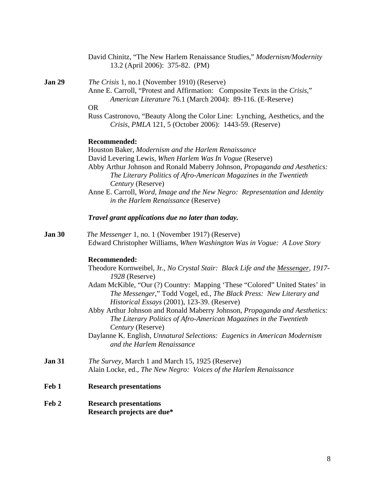| <b>Jan 30</b> | The Messenger 1, no. 1 (November 1917) (Reserve)<br>Edward Christopher Williams, When Washington Was in Vogue: A Love Story                                                                     |
|---------------|-------------------------------------------------------------------------------------------------------------------------------------------------------------------------------------------------|
|               |                                                                                                                                                                                                 |
|               |                                                                                                                                                                                                 |
|               | Recommended:                                                                                                                                                                                    |
|               | Theodore Kornweibel, Jr., No Crystal Stair: Black Life and the Messenger, 1917-<br>$1928$ (Reserve)                                                                                             |
|               | Adam McKible, "Our (?) Country: Mapping 'These "Colored" United States' in<br>The Messenger," Todd Vogel, ed., The Black Press: New Literary and<br>Historical Essays (2001), 123-39. (Reserve) |
|               | Abby Arthur Johnson and Ronald Maberry Johnson, Propaganda and Aesthetics:<br>The Literary Politics of Afro-American Magazines in the Twentieth                                                 |
|               | <i>Century</i> (Reserve)<br>Daylanne K. English, Unnatural Selections: Eugenics in American Modernism<br>and the Harlem Renaissance                                                             |
| Jan 31        | <i>The Survey</i> , March 1 and March 15, 1925 (Reserve)<br>Alain Locke, ed., The New Negro: Voices of the Harlem Renaissance                                                                   |
| Feb 1         | <b>Research presentations</b>                                                                                                                                                                   |
| Feb 2         | <b>Research presentations</b><br>Research projects are due*                                                                                                                                     |
|               |                                                                                                                                                                                                 |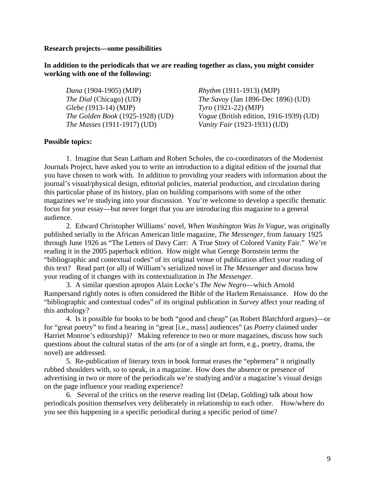### **Research projects—some possibilities**

## **In addition to the periodicals that we are reading together as class, you might consider working with one of the following:**

*Dana* (1904-1905) (MJP) *Rhythm* (1911-1913) (MJP) *Glebe (*1913-14) (MJP) *Tyro* (1921-22) (MJP) *The Masses* (1911-1917) (UD) *Vanity Fair* (1923-1931) (UD)

*The Dial* (Chicago) (UD) *The Savoy* (Jan 1896-Dec 1896) (UD) *The Golden Book* (1925-1928) (UD) *Vogue* (British edition, 1916-1939) (UD)

#### **Possible topics:**

1. Imagine that Sean Latham and Robert Scholes, the co-coordinators of the Modernist Journals Project, have asked you to write an introduction to a digital edition of the journal that you have chosen to work with. In addition to providing your readers with information about the journal's visual/physical design, editorial policies, material production, and circulation during this particular phase of its history, plan on building comparisons with some of the other magazines we're studying into your discussion. You're welcome to develop a specific thematic focus for your essay—but never forget that you are introducing this magazine to a general audience.

2. Edward Christopher Williams' novel, *When Washington Was In Vogue*, was originally published serially in the African American little magazine, *The Messenger*, from January 1925 through June 1926 as "The Letters of Davy Carr: A True Story of Colored Vanity Fair." We're reading it in the 2005 paperback edition. How might what George Bornstein terms the "bibliographic and contextual codes" of its original venue of publication affect your reading of this text? Read part (or all) of William's serialized novel in *The Messenger* and discuss how your reading of it changes with its contextualization in *The Messenger*.

3. A similar question apropos Alain Locke's *The New Negro*—which Arnold Rampersand rightly notes is often considered the Bible of the Harlem Renaissance. How do the "bibliographic and contextual codes" of its original publication in *Survey* affect your reading of this anthology?

4. Is it possible for books to be both "good and cheap" (as Robert Blatchford argues)—or for "great poetry" to find a hearing in "great [i.e., mass] audiences" (as *Poetry* claimed under Harriet Monroe's editorship)? Making reference to two or more magazines, discuss how such questions about the cultural status of the arts (or of a single art form, e.g., poetry, drama, the novel) are addressed.

5. Re-publication of literary texts in book format erases the "ephemera" it originally rubbed shoulders with, so to speak, in a magazine. How does the absence or presence of advertising in two or more of the periodicals we're studying and/or a magazine's visual design on the page influence your reading experience?

6. Several of the critics on the reserve reading list (Delap, Golding) talk about how periodicals position themselves very deliberately in relationship to each other. How/where do you see this happening in a specific periodical during a specific period of time?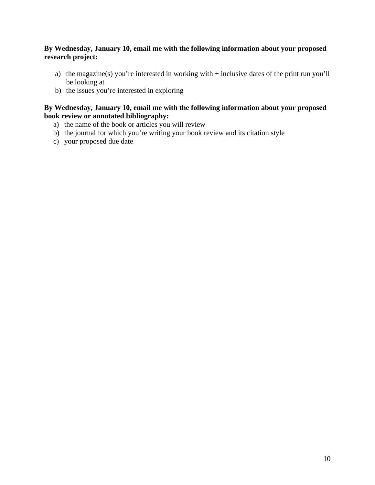# **By Wednesday, January 10, email me with the following information about your proposed research project:**

- a) the magazine(s) you're interested in working with + inclusive dates of the print run you'll be looking at
- b) the issues you're interested in exploring

# **By Wednesday, January 10, email me with the following information about your proposed book review or annotated bibliography:**

- a) the name of the book or articles you will review
- b) the journal for which you're writing your book review and its citation style
- c) your proposed due date